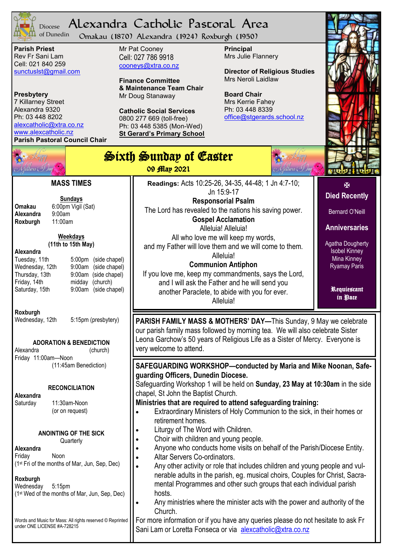

#### Alexandra Catholic Pastoral Area Diocese

Omakau (1870) Alexandra (1924) Roxburgh (1950) of Dunedin

**Parish Priest** Rev Fr Sani Lam Cell: 021 840 259 [sunctuslst@gmail.com](mailto:mailto:sunctuslst@gmail.com)

#### **Presbytery**

7 Killarney Street Alexandra 9320 Ph: 03 448 8202 [alexcatholic@xtra.co.nz](mailto:mailto:alexcatholic@xtra.co.nz) www.alexcatholic.nz **Parish Pastoral Council Chair** Mr Pat Cooney Cell: 027 786 9918 cooneys@xtra.co.nz

**Finance Committee & Maintenance Team Chair** Mr Doug Stanaway

**Catholic Social Services**  0800 277 669 (toll-free) Ph: 03 448 5385 (Mon-Wed) **St Gerard's Primary School** **Principal** Mrs Julie Flannery

**Director of Religious Studies** Mrs Neroli Laidlaw

**Board Chair** Mrs Kerrie Fahey Ph: 03 448 8339 [office@stgerards.school.nz](mailto:mailto:office@stgerards.school.nz)



| thens ( $\mathcal{A}$                                                                                                                                                                                                                                                                                                                                                       | Sixth Sunday of Easter<br>Methers (So)ay<br>09 flap 2021                                                                                                                                                                                                                                                                                                                                                                                                                                                                                     |                                                                                                                                                                                                |  |
|-----------------------------------------------------------------------------------------------------------------------------------------------------------------------------------------------------------------------------------------------------------------------------------------------------------------------------------------------------------------------------|----------------------------------------------------------------------------------------------------------------------------------------------------------------------------------------------------------------------------------------------------------------------------------------------------------------------------------------------------------------------------------------------------------------------------------------------------------------------------------------------------------------------------------------------|------------------------------------------------------------------------------------------------------------------------------------------------------------------------------------------------|--|
| <b>MASS TIMES</b><br><b>Sundays</b><br>6:00pm Vigil (Sat)<br>Omakau<br>Alexandra<br>9:00am<br>11:00am<br>Roxburgh<br>Weekdays<br>(11th to 15th May)<br>Alexandra<br>Tuesday, 11th<br>5:00pm (side chapel)<br>9:00am (side chapel)<br>Wednesday, 12th<br>Thursday, 13th<br>9:00am (side chapel)<br>Friday, 14th<br>midday (church)<br>9:00am (side chapel)<br>Saturday, 15th | Readings: Acts 10:25-26, 34-35, 44-48; 1 Jn 4:7-10;<br>Jn 15:9-17<br><b>Responsorial Psalm</b><br>The Lord has revealed to the nations his saving power.<br><b>Gospel Acclamation</b><br>Alleluia! Alleluia!<br>All who love me will keep my words,<br>and my Father will love them and we will come to them.<br>Alleluia!<br><b>Communion Antiphon</b><br>If you love me, keep my commandments, says the Lord,<br>and I will ask the Father and he will send you<br>another Paraclete, to abide with you for ever.<br>Alleluia!             | 图<br><b>Died Recently</b><br><b>Bernard O'Neill</b><br><b>Anniversaries</b><br><b>Agatha Dougherty</b><br><b>Isobel Kinney</b><br>Mina Kinney<br><b>Ryamay Paris</b><br>Requiescant<br>in Pace |  |
| Roxburgh<br>Wednesday, 12th<br>5:15pm (presbytery)<br><b>ADORATION &amp; BENEDICTION</b><br>Alexandra<br>(church)                                                                                                                                                                                                                                                           | <b>PARISH FAMILY MASS &amp; MOTHERS' DAY—This Sunday, 9 May we celebrate</b><br>our parish family mass followed by morning tea. We will also celebrate Sister<br>Leona Garchow's 50 years of Religious Life as a Sister of Mercy. Everyone is<br>very welcome to attend.                                                                                                                                                                                                                                                                     |                                                                                                                                                                                                |  |
| Friday 11:00am-Noon<br>(11:45am Benediction)<br><b>RECONCILIATION</b><br>Alexandra<br>11:30am-Noon<br>Saturday<br>(or on request)                                                                                                                                                                                                                                           | SAFEGUARDING WORKSHOP-conducted by Maria and Mike Noonan, Safe-<br>guarding Officers, Dunedin Diocese.<br>Safeguarding Workshop 1 will be held on Sunday, 23 May at 10:30am in the side<br>chapel, St John the Baptist Church.<br>Ministries that are required to attend safeguarding training:<br>Extraordinary Ministers of Holy Communion to the sick, in their homes or<br>retirement homes.                                                                                                                                             |                                                                                                                                                                                                |  |
| <b>ANOINTING OF THE SICK</b><br>Quarterly<br>Alexandra<br>Friday<br>Noon<br>(1st Fri of the months of Mar, Jun, Sep, Dec)<br>Roxburgh<br>5:15pm<br>Wednesday<br>(1 <sup>st</sup> Wed of the months of Mar, Jun, Sep, Dec)                                                                                                                                                   | Liturgy of The Word with Children.<br>Choir with children and young people.<br>Anyone who conducts home visits on behalf of the Parish/Diocese Entity.<br>Altar Servers Co-ordinators.<br>Any other activity or role that includes children and young people and vul-<br>nerable adults in the parish, eg. musical choirs, Couples for Christ, Sacra-<br>mental Programmes and other such groups that each individual parish<br>hosts.<br>Any ministries where the minister acts with the power and authority of the<br>$\bullet$<br>Church. |                                                                                                                                                                                                |  |
| Words and Music for Mass: All rights reserved © Reprinted<br>under ONE LICENSE #A-728215                                                                                                                                                                                                                                                                                    | For more information or if you have any queries please do not hesitate to ask Fr<br>Sani Lam or Loretta Fonseca or via alexcatholic@xtra.co.nz                                                                                                                                                                                                                                                                                                                                                                                               |                                                                                                                                                                                                |  |